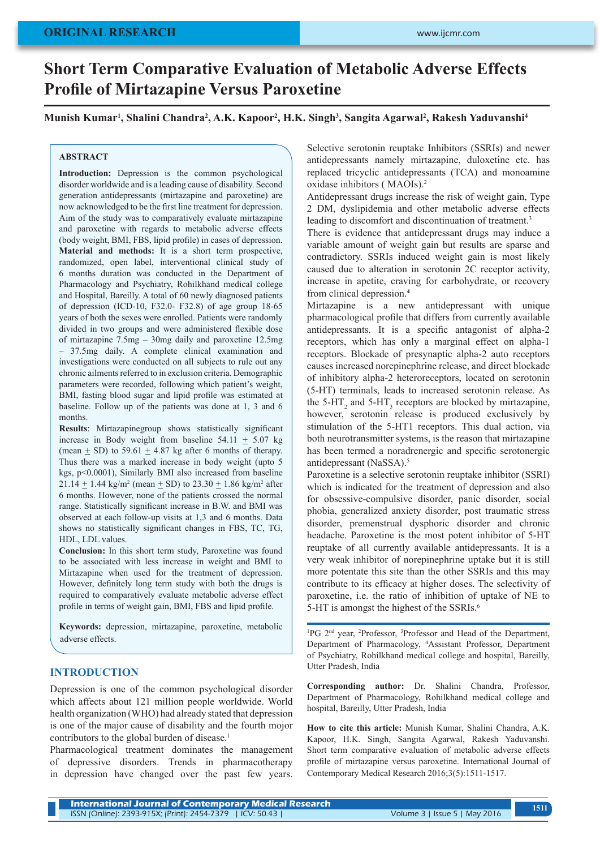# **Short Term Comparative Evaluation of Metabolic Adverse Effects Profile of Mirtazapine Versus Paroxetine**

**Munish Kumar1 , Shalini Chandra2 , A.K. Kapoor2 , H.K. Singh3 , Sangita Agarwal2 , Rakesh Yaduvanshi4**

#### **ABSTRACT**

**Introduction:** Depression is the common psychological disorder worldwide and is a leading cause of disability. Second generation antidepressants (mirtazapine and paroxetine) are now acknowledged to be the first line treatment for depression. Aim of the study was to comparatively evaluate mirtazapine and paroxetine with regards to metabolic adverse effects (body weight, BMI, FBS, lipid profile) in cases of depression. **Material and methods:** It is a short term prospective, randomized, open label, interventional clinical study of 6 months duration was conducted in the Department of Pharmacology and Psychiatry, Rohilkhand medical college and Hospital, Bareilly. A total of 60 newly diagnosed patients of depression (ICD-10, F32.0- F32.8) of age group 18-65 years of both the sexes were enrolled. Patients were randomly divided in two groups and were administered flexible dose of mirtazapine 7.5mg – 30mg daily and paroxetine 12.5mg – 37.5mg daily. A complete clinical examination and investigations were conducted on all subjects to rule out any chronic ailments referred to in exclusion criteria. Demographic parameters were recorded, following which patient's weight, BMI, fasting blood sugar and lipid profile was estimated at baseline. Follow up of the patients was done at 1, 3 and 6 months.

**Results**: Mirtazapinegroup shows statistically significant increase in Body weight from baseline  $54.11 \pm 5.07$  kg (mean  $\pm$  SD) to 59.61  $\pm$  4.87 kg after 6 months of therapy. Thus there was a marked increase in body weight (upto 5 kgs, p<0.0001), Similarly BMI also increased from baseline  $21.14 \pm 1.44$  kg/m<sup>2</sup> (mean  $\pm$  SD) to 23.30  $\pm$  1.86 kg/m<sup>2</sup> after 6 months. However, none of the patients crossed the normal range. Statistically significant increase in B.W. and BMI was observed at each follow-up visits at 1,3 and 6 months. Data shows no statistically significant changes in FBS, TC, TG, HDL, LDL values.

**Conclusion:** In this short term study, Paroxetine was found to be associated with less increase in weight and BMI to Mirtazapine when used for the treatment of depression. However, definitely long term study with both the drugs is required to comparatively evaluate metabolic adverse effect profile in terms of weight gain, BMI, FBS and lipid profile.

**Keywords:** depression, mirtazapine, paroxetine, metabolic adverse effects.

## **INTRODUCTION**

Depression is one of the common psychological disorder which affects about 121 million people worldwide. World health organization (WHO) had already stated that depression is one of the major cause of disability and the fourth mojor contributors to the global burden of disease.<sup>1</sup>

Pharmacological treatment dominates the management of depressive disorders. Trends in pharmacotherapy in depression have changed over the past few years.

Selective serotonin reuptake Inhibitors (SSRIs) and newer antidepressants namely mirtazapine, duloxetine etc. has replaced tricyclic antidepressants (TCA) and monoamine oxidase inhibitors ( MAOIs).<sup>2</sup>

Antidepressant drugs increase the risk of weight gain, Type 2 DM, dyslipidemia and other metabolic adverse effects leading to discomfort and discontinuation of treatment.<sup>3</sup>

There is evidence that antidepressant drugs may induce a variable amount of weight gain but results are sparse and contradictory. SSRIs induced weight gain is most likely caused due to alteration in serotonin 2C receptor activity, increase in apetite, craving for carbohydrate, or recovery from clinical depression.**<sup>4</sup>**

Mirtazapine is a new antidepressant with unique pharmacological profile that differs from currently available antidepressants. It is a specific antagonist of alpha-2 receptors, which has only a marginal effect on alpha-1 receptors. Blockade of presynaptic alpha-2 auto receptors causes increased norepinephrine release, and direct blockade of inhibitory alpha-2 heteroreceptors, located on serotonin (5-HT) terminals, leads to increased serotonin release. As the  $5-HT_2$  and  $5-HT_3$  receptors are blocked by mirtazapine, however, serotonin release is produced exclusively by stimulation of the 5-HT1 receptors. This dual action, via both neurotransmitter systems, is the reason that mirtazapine has been termed a noradrenergic and specific serotonergic antidepressant (NaSSA).5

Paroxetine is a selective serotonin reuptake inhibitor (SSRI) which is indicated for the treatment of depression and also for obsessive-compulsive disorder, panic disorder, social phobia, generalized anxiety disorder, post traumatic stress disorder, premenstrual dysphoric disorder and chronic headache. Paroxetine is the most potent inhibitor of 5-HT reuptake of all currently available antidepressants. It is a very weak inhibitor of norepinephrine uptake but it is still more potentate this site than the other SSRIs and this may contribute to its efficacy at higher doses. The selectivity of paroxetine, i.e. the ratio of inhibition of uptake of NE to 5-HT is amongst the highest of the SSRIs.<sup>6</sup>

<sup>1</sup>PG 2<sup>nd</sup> year, <sup>2</sup>Professor, <sup>3</sup>Professor and Head of the Department, Department of Pharmacology, 4 Assistant Professor, Department of Psychiatry, Rohilkhand medical college and hospital, Bareilly, Utter Pradesh, India

**Corresponding author:** Dr. Shalini Chandra, Professor, Department of Pharmacology, Rohilkhand medical college and hospital, Bareilly, Utter Pradesh, India

**How to cite this article:** Munish Kumar, Shalini Chandra, A.K. Kapoor, H.K. Singh, Sangita Agarwal, Rakesh Yaduvanshi. Short term comparative evaluation of metabolic adverse effects profile of mirtazapine versus paroxetine. International Journal of Contemporary Medical Research 2016;3(5):1511-1517.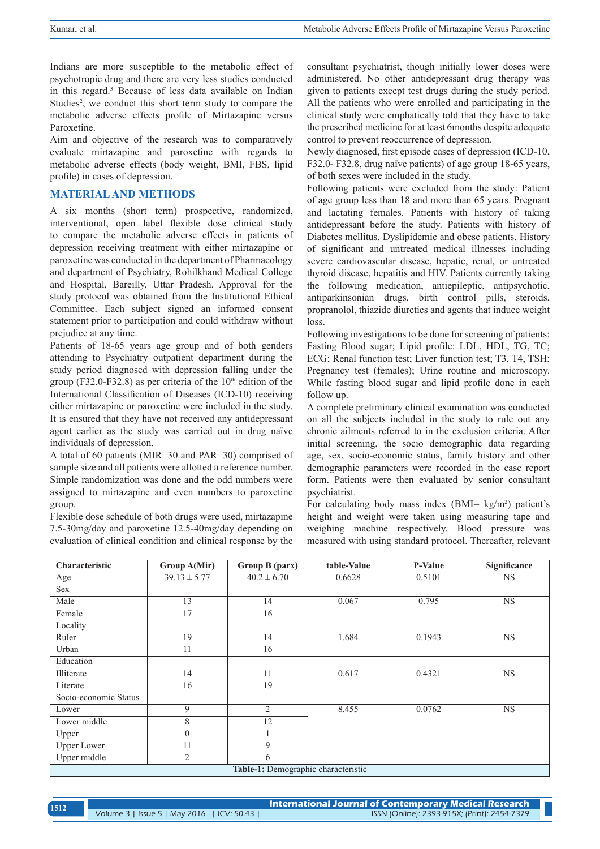Indians are more susceptible to the metabolic effect of psychotropic drug and there are very less studies conducted in this regard.3 Because of less data available on Indian Studies<sup>2</sup>, we conduct this short term study to compare the metabolic adverse effects profile of Mirtazapine versus Paroxetine.

Aim and objective of the research was to comparatively evaluate mirtazapine and paroxetine with regards to metabolic adverse effects (body weight, BMI, FBS, lipid profile) in cases of depression.

#### **MATERIAL AND METHODS**

A six months (short term) prospective, randomized, interventional, open label flexible dose clinical study to compare the metabolic adverse effects in patients of depression receiving treatment with either mirtazapine or paroxetine was conducted in the department of Pharmacology and department of Psychiatry, Rohilkhand Medical College and Hospital, Bareilly, Uttar Pradesh. Approval for the study protocol was obtained from the Institutional Ethical Committee. Each subject signed an informed consent statement prior to participation and could withdraw without prejudice at any time.

Patients of 18-65 years age group and of both genders attending to Psychiatry outpatient department during the study period diagnosed with depression falling under the group (F32.0-F32.8) as per criteria of the  $10<sup>th</sup>$  edition of the International Classification of Diseases (ICD-10) receiving either mirtazapine or paroxetine were included in the study. It is ensured that they have not received any antidepressant agent earlier as the study was carried out in drug naïve individuals of depression.

A total of 60 patients (MIR=30 and PAR=30) comprised of sample size and all patients were allotted a reference number. Simple randomization was done and the odd numbers were assigned to mirtazapine and even numbers to paroxetine group.

Flexible dose schedule of both drugs were used, mirtazapine 7.5-30mg/day and paroxetine 12.5-40mg/day depending on evaluation of clinical condition and clinical response by the consultant psychiatrist, though initially lower doses were administered. No other antidepressant drug therapy was given to patients except test drugs during the study period. All the patients who were enrolled and participating in the clinical study were emphatically told that they have to take the prescribed medicine for at least 6months despite adequate control to prevent reoccurrence of depression.

Newly diagnosed, first episode cases of depression (ICD-10, F32.0- F32.8, drug naïve patients) of age group 18-65 years, of both sexes were included in the study.

Following patients were excluded from the study: Patient of age group less than 18 and more than 65 years. Pregnant and lactating females. Patients with history of taking antidepressant before the study. Patients with history of Diabetes mellitus. Dyslipidemic and obese patients. History of significant and untreated medical illnesses including severe cardiovascular disease, hepatic, renal, or untreated thyroid disease, hepatitis and HIV. Patients currently taking the following medication, antiepileptic, antipsychotic, antiparkinsonian drugs, birth control pills, steroids, propranolol, thiazide diuretics and agents that induce weight loss.

Following investigations to be done for screening of patients: Fasting Blood sugar; Lipid profile: LDL, HDL, TG, TC; ECG; Renal function test; Liver function test; T3, T4, TSH; Pregnancy test (females); Urine routine and microscopy. While fasting blood sugar and lipid profile done in each follow up.

A complete preliminary clinical examination was conducted on all the subjects included in the study to rule out any chronic ailments referred to in the exclusion criteria. After initial screening, the socio demographic data regarding age, sex, socio-economic status, family history and other demographic parameters were recorded in the case report form. Patients were then evaluated by senior consultant psychiatrist.

For calculating body mass index  $(BMI = kg/m<sup>2</sup>)$  patient's height and weight were taken using measuring tape and weighing machine respectively. Blood pressure was measured with using standard protocol. Thereafter, relevant

| Characteristic                      | Group A(Mir)     | Group B (parx)  | table-Value | P-Value | Significance |  |
|-------------------------------------|------------------|-----------------|-------------|---------|--------------|--|
| Age                                 | $39.13 \pm 5.77$ | $40.2 \pm 6.70$ | 0.6628      | 0.5101  | <b>NS</b>    |  |
| Sex                                 |                  |                 |             |         |              |  |
| Male                                | 13               | 14              | 0.067       | 0.795   | $_{\rm NS}$  |  |
| Female                              | 17               | 16              |             |         |              |  |
| Locality                            |                  |                 |             |         |              |  |
| Ruler                               | 19               | 14              | 1.684       | 0.1943  | <b>NS</b>    |  |
| Urban                               | 11               | 16              |             |         |              |  |
| Education                           |                  |                 |             |         |              |  |
| Illiterate                          | 14               | 11              | 0.617       | 0.4321  | <b>NS</b>    |  |
| Literate                            | 16               | 19              |             |         |              |  |
| Socio-economic Status               |                  |                 |             |         |              |  |
| Lower                               | 9                | $\overline{2}$  | 8.455       | 0.0762  | <b>NS</b>    |  |
| Lower middle                        | 8                | 12              |             |         |              |  |
| Upper                               | $\mathbf{0}$     |                 |             |         |              |  |
| <b>Upper Lower</b>                  | 11               | 9               |             |         |              |  |
| Upper middle                        | $\overline{2}$   | 6               |             |         |              |  |
| Table-1: Demographic characteristic |                  |                 |             |         |              |  |

**International Journal of Contemporary Medical Research**  Volume 3 | Issue 5 | May 2016 | ICV: 50.43 | ISSN (Online): 2393-915X; (Print): 2454-7379 **<sup>1512</sup>**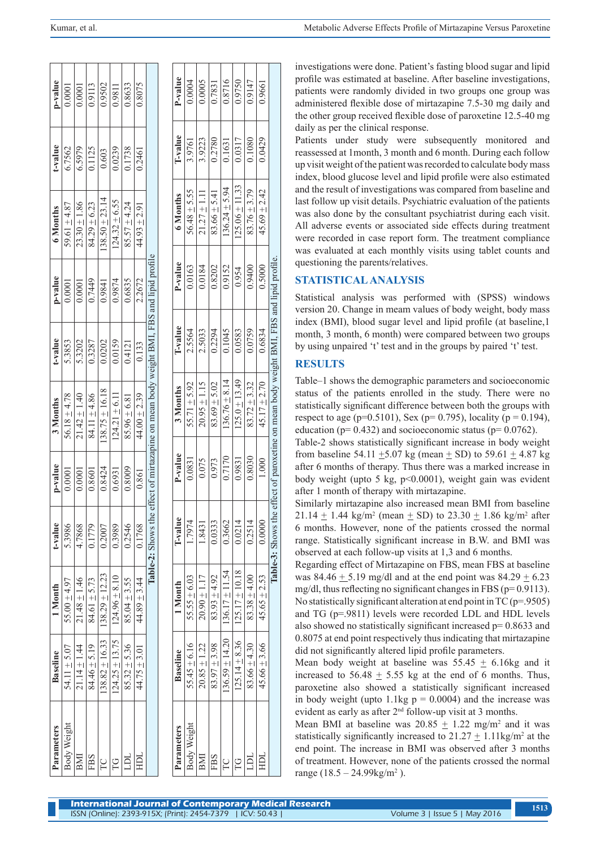| p-value         | 0.0001           | 0.0001           | 0.9113           | 0.9502             | 0.9811            | 0.8633           | 0.8075           |                                                                                         | P-value         | 0.0004          |
|-----------------|------------------|------------------|------------------|--------------------|-------------------|------------------|------------------|-----------------------------------------------------------------------------------------|-----------------|-----------------|
| t-value         | 6.7562           | 6.5979           | 0.1125           | 0.603              | 0.0239            | 0.1738           | 0.2461           |                                                                                         | T-value         | 20761           |
| 6 Months        | 59.61 $\pm$ 4.87 | $23.30 \pm 1.86$ | $84.29 \pm 6.23$ | $138.50 \pm 23.14$ | $124.32 \pm 6.55$ | $85.57 \pm 4.24$ | $44.93 \pm 2.91$ |                                                                                         | 6 Months        | 56 18 + 5 55    |
| p-value         | 0.0001           | 0.0001           | 0.7449           | 0.9841             | 0.9874            | 0.6835           | 2.2672           |                                                                                         | P-value         | 0.0163          |
| t-value         | 5.3853           | 5.3202           | 0.3287           | 0.0202             | 0.0159            | 0.4121           | 0.133            |                                                                                         | T-value         | <b>25561</b>    |
| 3 Months        | 56.18 $\pm$ 4.78 | $21.42 \pm 1.40$ | 84.11 ± 4.86     | $138.75 \pm 16.18$ | $124.21 \pm 6.11$ | $85.96 \pm 6.81$ | 44.00 $\pm$ 2.39 | Table-2: Shows the effect of mirtazapine on mean body weight BMI, FBS and lipid profile | 3 Months        | $55 - 71$ + 507 |
| p-value         | 0.0001           | 0.0001           | 0.8601           | 0.8424             | 0.6931            | 0.8009           | 0.861            |                                                                                         | P-value         | 0.0831          |
| t-value         | 5.3986           | 4.7868           | 0.1779           | 0.2007             | 0.3989            | 0.2546           | 0.1768           |                                                                                         | T-value         | <b>LLOL</b> 1   |
| 1 Month         | $55.00 \pm 4.97$ | $21.48 \pm 1.46$ | $84.61 \pm 5.73$ | $138.29 \pm 12.23$ | $124.96 + 8.10$   | $85.04 \pm 3.55$ | $44.89 \pm 3.44$ |                                                                                         | 1 Month         | 50 7 + 2 2 2 2  |
| <b>Baseline</b> | $54.11 \pm 5.07$ | $21.14 \pm 1.44$ | $84.46 \pm 5.19$ | $138.82 \pm 16.33$ | $124.25 + 13.75$  | $85.32 \pm 5.36$ | $44.75 \pm 3.01$ |                                                                                         | <b>Baseline</b> | $55/5 + 6/16$   |
| Parameters      | Body Weight      | BMI              | FBS              |                    |                   |                  |                  |                                                                                         | Parameters      | Body Weight     |

| P-value         | 0.0004             | 0.0005           | 0.7831           | 0.8716                                  | 0.9750                                 | 0.9147           | 0.9661           |                                                                      |
|-----------------|--------------------|------------------|------------------|-----------------------------------------|----------------------------------------|------------------|------------------|----------------------------------------------------------------------|
| T-value         | 3.9761             | 3.9223           | 0.2780           | 0.1631                                  | 0.0317                                 | 0.1080           | 0.0429           |                                                                      |
| 6 Months        | $56.48 \pm 5.55$   | $21.27 \pm 1.11$ | $83.66 \pm 5.41$ | $136.24 \pm 5.94$                       | $125.06 \pm 11.33$                     | $83.76 \pm 3.79$ | $45.69 \pm 2.42$ |                                                                      |
| P-value         | 0.0163             | 0.0184           | 0.8202           | 0.9152                                  | $\frac{6.954}{0.954}$                  | 0.9400           | 0.5000           |                                                                      |
| T-value         | 2.5564             | 2.5033           | 0.2294           | $\frac{0.1045}{0.0583}$                 |                                        | 0.0759           | 0.6834           |                                                                      |
| 3 Months        | $55.71 \pm 5.92$   | $20.95 \pm 1.15$ | $83.69 \pm 5.02$ | $136.76 \pm 8.14$                       | $125.0 \pm 13.49$                      | $83.72 \pm 3.32$ | $45.17 \pm 2.70$ | effect of paroxetine on mean body weight BMI, FBS and lipid profile. |
| P-value         | 0.0831             | 0.075            | 0.973            | 0.7170                                  | 0.9831                                 | 0.8030           | 1.000            |                                                                      |
| T-value         | 1.7974             | 1.8431           | 0.0333           | 0.3662                                  | 0.0214                                 | 0.2514           | 0.0000           | Table-3: Shows the                                                   |
| 1 Month         | $55.55 \pm 6.03$   | $20.90 \pm 1.17$ | $83.93 \pm 4.92$ | $136.59 \pm 14.20$   $136.17 \pm 11.54$ | $125.14 \pm 8.36$   $125.17 \pm 10.18$ | $83.38 \pm 4.00$ | $45.65 \pm 2.53$ |                                                                      |
| <b>Baseline</b> | 55.45 $\pm$ 6.16   | $20.85 \pm 1.22$ | $83.97 \pm 3.98$ |                                         |                                        | $83.66 \pm 4.30$ | $45.66 \pm 3.66$ |                                                                      |
| Parameters      | <b>Body Weight</b> | BMI              | FBS              | $\sum_{i=1}^{n}$                        | Ë                                      |                  |                  |                                                                      |

investigations were done. Patient's fasting blood sugar and lipid profile was estimated at baseline. After baseline investigations, patients were randomly divided in two groups one group was administered flexible dose of mirtazapine 7.5-30 mg daily and the other group received flexible dose of paroxetine 12.5-40 mg daily as per the clinical response.

Patients under study were subsequently monitored and reassessed at 1month, 3 month and 6 month. During each follow up visit weight of the patient was recorded to calculate body mass index, blood glucose level and lipid profile were also estimated and the result of investigations was compared from baseline and last follow up visit details. Psychiatric evaluation of the patients was also done by the consultant psychiatrist during each visit. All adverse events or associated side effects during treatment were recorded in case report form. The treatment compliance was evaluated at each monthly visits using tablet counts and questioning the parents/relatives.

## **STATISTICAL ANALYSIS**

Statistical analysis was performed with (SPSS) windows version 20. Change in meam values of body weight, body mass index (BMI), blood sugar level and lipid profile (at baseline,1 month, 3 month, 6 month) were compared between two groups by using unpaired 't' test and in the groups by paired 't' test.

## **RESULTS**

Table–1 shows the demographic parameters and socioeconomic status of the patients enrolled in the study. There were no statistically significant difference between both the groups with respect to age (p=0.5101), Sex (p= 0.795), locality (p = 0.194), education ( $p= 0.432$ ) and socioeconomic status ( $p= 0.0762$ ).

Table-2 shows statistically significant increase in body weight from baseline 54.11  $\pm$ 5.07 kg (mean  $\pm$  SD) to 59.61  $\pm$  4.87 kg after 6 months of therapy. Thus there was a marked increase in body weight (upto 5 kg, p<0.0001), weight gain was evident after 1 month of therapy with mirtazapine.

Similarly mirtazapine also increased mean BMI from baseline  $21.14 \pm 1.44$  kg/m<sup>2</sup> (mean  $\pm$  SD) to 23.30  $\pm$  1.86 kg/m<sup>2</sup> after 6 months. However, none of the patients crossed the normal range. Statistically significant increase in B.W. and BMI was observed at each follow-up visits at 1,3 and 6 months.

Regarding effect of Mirtazapine on FBS, mean FBS at baseline was  $84.46 \pm 5.19$  mg/dl and at the end point was  $84.29 \pm 6.23$ mg/dl, thus reflecting no significant changes in FBS (p= 0.9113). No statistically significant alteration at end point in  $TC$  ( $p=0.9505$ ) and TG (p=.9811) levels were recorded LDL and HDL levels also showed no statistically significant increased p= 0.8633 and 0.8075 at end point respectively thus indicating that mirtazapine did not significantly altered lipid profile parameters.

Mean body weight at baseline was  $55.45 \pm 6.16$ kg and it increased to  $56.48 \pm 5.55$  kg at the end of 6 months. Thus, paroxetine also showed a statistically significant increased in body weight (upto 1.1kg  $p = 0.0004$ ) and the increase was evident as early as after 2nd follow-up visit at 3 months.

Mean BMI at baseline was  $20.85 \pm 1.22$  mg/m<sup>2</sup> and it was statistically significantly increased to  $21.27 \pm 1.11$  kg/m<sup>2</sup> at the end point. The increase in BMI was observed after 3 months of treatment. However, none of the patients crossed the normal range  $(18.5 - 24.99 \text{kg/m}^2)$ .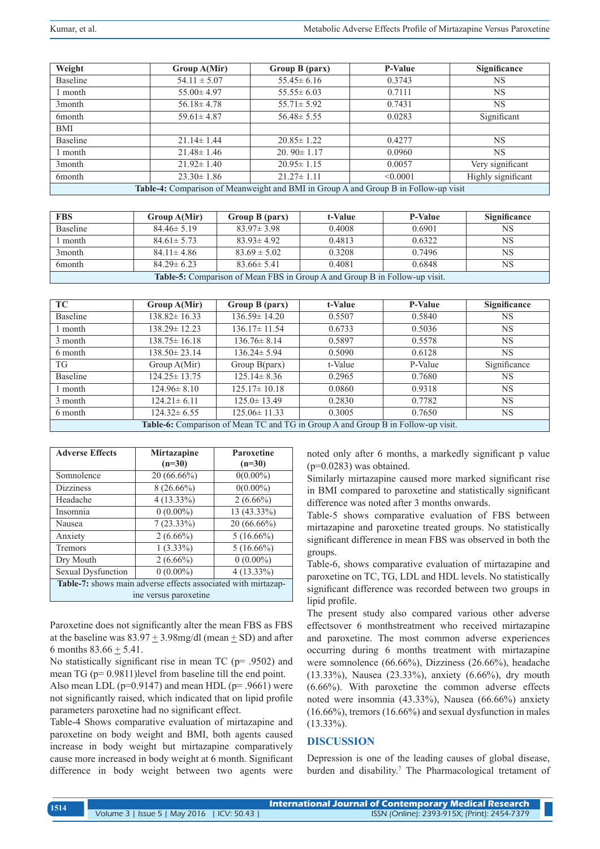| Weight                                                                                     | Group A(Mir)     | Group B (parx)   | <b>P-Value</b> | Significance       |  |  |
|--------------------------------------------------------------------------------------------|------------------|------------------|----------------|--------------------|--|--|
| Baseline                                                                                   | $54.11 \pm 5.07$ | $55.45 \pm 6.16$ | 0.3743         | NS                 |  |  |
| month                                                                                      | $55.00 \pm 4.97$ | $55.55 \pm 6.03$ | 0.7111         | <b>NS</b>          |  |  |
| 3 <sub>month</sub>                                                                         | $56.18 \pm 4.78$ | $55.71 \pm 5.92$ | 0.7431         | <b>NS</b>          |  |  |
| 6 <sub>m</sub> onth                                                                        | $59.61 \pm 4.87$ | $56.48 \pm 5.55$ | 0.0283         | Significant        |  |  |
| BMI                                                                                        |                  |                  |                |                    |  |  |
| Baseline                                                                                   | $21.14 \pm 1.44$ | $20.85 \pm 1.22$ | 0.4277         | <b>NS</b>          |  |  |
| l month                                                                                    | $21.48 \pm 1.46$ | $20.90 \pm 1.17$ | 0.0960         | <b>NS</b>          |  |  |
| 3 <sub>month</sub>                                                                         | $21.92 \pm 1.40$ | $20.95 \pm 1.15$ | 0.0057         | Very significant   |  |  |
| 6 <sub>m</sub> onth                                                                        | $23.30 \pm 1.86$ | $21.27 \pm 1.11$ | < 0.0001       | Highly significant |  |  |
| <b>Table-4:</b> Comparison of Meanweight and BMI in Group A and Group B in Follow-up visit |                  |                  |                |                    |  |  |

| <b>FBS</b>                                                                        | Group A(Mir)     | Group B (parx)   | t-Value | <b>P-Value</b> | Significance |
|-----------------------------------------------------------------------------------|------------------|------------------|---------|----------------|--------------|
| Baseline                                                                          | $84.46 \pm 5.19$ | $83.97 \pm 3.98$ | 0.4008  | 0.6901         | <b>NS</b>    |
| month                                                                             | $84.61 \pm 5.73$ | $83.93 \pm 4.92$ | 0.4813  | 0.6322         | <b>NS</b>    |
| 3 <sub>month</sub>                                                                | $84.11 \pm 4.86$ | $83.69 \pm 5.02$ | 0.3208  | 0.7496         | <b>NS</b>    |
| 6 <sub>month</sub>                                                                | $84.29 \pm 6.23$ | $83.66 \pm 5.41$ | 0.4081  | 0.6848         | <b>NS</b>    |
| <b>Table-5:</b> Comparison of Mean FBS in Group A and Group B in Follow-up visit. |                  |                  |         |                |              |

| TC-                                                                                     | Group A(Mir)       | Group B (parx)     | t-Value | <b>P-Value</b> | Significance |  |
|-----------------------------------------------------------------------------------------|--------------------|--------------------|---------|----------------|--------------|--|
| <b>Baseline</b>                                                                         | $138.82 \pm 16.33$ | $136.59 \pm 14.20$ | 0.5507  | 0.5840         | <b>NS</b>    |  |
| l month                                                                                 | $138.29 \pm 12.23$ | $136.17 \pm 11.54$ | 0.6733  | 0.5036         | <b>NS</b>    |  |
| 3 month                                                                                 | $138.75 \pm 16.18$ | $136.76 \pm 8.14$  | 0.5897  | 0.5578         | <b>NS</b>    |  |
| 6 month                                                                                 | $138.50 \pm 23.14$ | $136.24 \pm 5.94$  | 0.5090  | 0.6128         | <b>NS</b>    |  |
| TG                                                                                      | Group A(Mir)       | Group $B(parx)$    | t-Value | P-Value        | Significance |  |
| <b>Baseline</b>                                                                         | $124.25 \pm 13.75$ | $125.14 \pm 8.36$  | 0.2965  | 0.7680         | <b>NS</b>    |  |
| l month                                                                                 | $124.96 \pm 8.10$  | $125.17 \pm 10.18$ | 0.0860  | 0.9318         | <b>NS</b>    |  |
| 3 month                                                                                 | $124.21 \pm 6.11$  | $125.0 \pm 13.49$  | 0.2830  | 0.7782         | <b>NS</b>    |  |
| 6 month                                                                                 | $124.32 \pm 6.55$  | $125.06 \pm 11.33$ | 0.3005  | 0.7650         | <b>NS</b>    |  |
| <b>Table-6:</b> Comparison of Mean TC and TG in Group A and Group B in Follow-up visit. |                    |                    |         |                |              |  |

| <b>Adverse Effects</b>                                        | <b>Mirtazapine</b> | Paroxetine    |  |  |  |
|---------------------------------------------------------------|--------------------|---------------|--|--|--|
|                                                               | $(n=30)$           | $(n=30)$      |  |  |  |
| Somnolence                                                    | $20(66.66\%)$      | $0(0.00\%)$   |  |  |  |
| <b>Dizziness</b>                                              | $8(26.66\%)$       | $0(0.00\%)$   |  |  |  |
| Headache                                                      | $4(13.33\%)$       | $2(6.66\%)$   |  |  |  |
| Insomnia                                                      | $0(0.00\%)$        | 13 (43.33%)   |  |  |  |
| Nausea                                                        | $7(23.33\%)$       | $20(66.66\%)$ |  |  |  |
| Anxiety                                                       | $2(6.66\%)$        | $5(16.66\%)$  |  |  |  |
| Tremors                                                       | $1(3.33\%)$        | $5(16.66\%)$  |  |  |  |
| Dry Mouth                                                     | $2(6.66\%)$        | $0(0.00\%)$   |  |  |  |
| Sexual Dysfunction                                            | $0(0.00\%)$        | $4(13.33\%)$  |  |  |  |
| Table-7: shows main adverse effects associated with mirtazap- |                    |               |  |  |  |
| ine versus paroxetine                                         |                    |               |  |  |  |

Paroxetine does not significantly alter the mean FBS as FBS at the baseline was  $83.97 \pm 3.98$  mg/dl (mean  $\pm$  SD) and after 6 months  $83.66 \pm 5.41$ .

No statistically significant rise in mean TC (p= .9502) and mean TG (p= 0.9811)level from baseline till the end point.

Also mean LDL ( $p=0.9147$ ) and mean HDL ( $p=0.9661$ ) were not significantly raised, which indicated that on lipid profile parameters paroxetine had no significant effect.

Table-4 Shows comparative evaluation of mirtazapine and paroxetine on body weight and BMI, both agents caused increase in body weight but mirtazapine comparatively cause more increased in body weight at 6 month. Significant difference in body weight between two agents were noted only after 6 months, a markedly significant p value  $(p=0.0283)$  was obtained.

Similarly mirtazapine caused more marked significant rise in BMI compared to paroxetine and statistically significant difference was noted after 3 months onwards.

Table-5 shows comparative evaluation of FBS between mirtazapine and paroxetine treated groups. No statistically significant difference in mean FBS was observed in both the groups.

Table-6, shows comparative evaluation of mirtazapine and paroxetine on TC, TG, LDL and HDL levels. No statistically significant difference was recorded between two groups in lipid profile.

The present study also compared various other adverse effectsover 6 monthstreatment who received mirtazapine and paroxetine. The most common adverse experiences occurring during 6 months treatment with mirtazapine were somnolence (66.66%), Dizziness (26.66%), headache (13.33%), Nausea (23.33%), anxiety (6.66%), dry mouth (6.66%). With paroxetine the common adverse effects noted were insomnia (43.33%), Nausea (66.66%) anxiety (16.66%), tremors (16.66%) and sexual dysfunction in males  $(13.33\%)$ .

## **DISCUSSION**

Depression is one of the leading causes of global disease, burden and disability.<sup>7</sup> The Pharmacological tretament of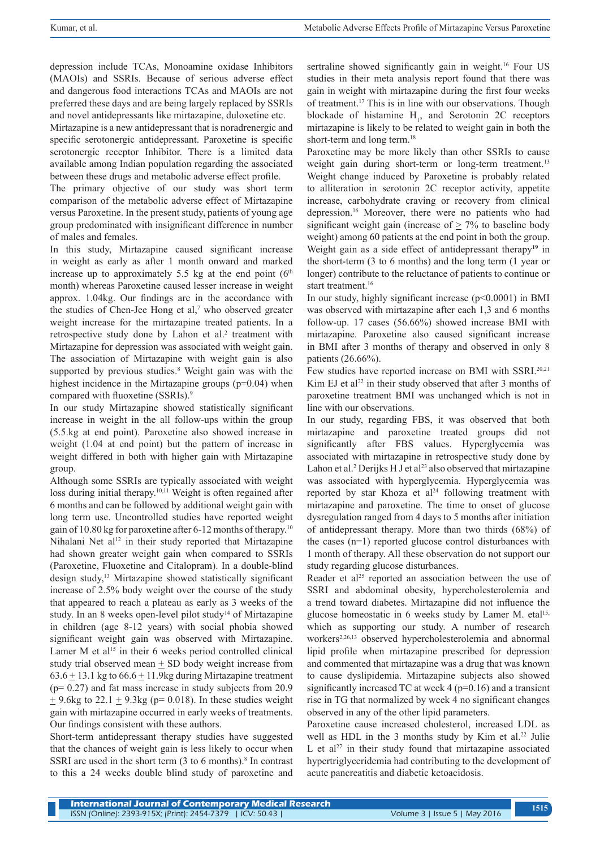depression include TCAs, Monoamine oxidase Inhibitors (MAOIs) and SSRIs. Because of serious adverse effect and dangerous food interactions TCAs and MAOIs are not preferred these days and are being largely replaced by SSRIs and novel antidepressants like mirtazapine, duloxetine etc.

Mirtazapine is a new antidepressant that is noradrenergic and specific serotonergic antidepressant. Paroxetine is specific serotonergic receptor Inhibitor. There is a limited data available among Indian population regarding the associated between these drugs and metabolic adverse effect profile.

The primary objective of our study was short term comparison of the metabolic adverse effect of Mirtazapine versus Paroxetine. In the present study, patients of young age group predominated with insignificant difference in number of males and females.

In this study, Mirtazapine caused significant increase in weight as early as after 1 month onward and marked increase up to approximately 5.5 kg at the end point  $(6<sup>th</sup>$ month) whereas Paroxetine caused lesser increase in weight approx. 1.04kg. Our findings are in the accordance with the studies of Chen-Jee Hong et al, $7$  who observed greater weight increase for the mirtazapine treated patients. In a retrospective study done by Lahon et al.<sup>2</sup> treatment with Mirtazapine for depression was associated with weight gain. The association of Mirtazapine with weight gain is also supported by previous studies.<sup>8</sup> Weight gain was with the highest incidence in the Mirtazapine groups (p=0.04) when compared with fluoxetine (SSRIs).<sup>9</sup>

In our study Mirtazapine showed statistically significant increase in weight in the all follow-ups within the group (5.5.kg at end point). Paroxetine also showed increase in weight (1.04 at end point) but the pattern of increase in weight differed in both with higher gain with Mirtazapine group.

Although some SSRIs are typically associated with weight loss during initial therapy.<sup>10,11</sup> Weight is often regained after 6 months and can be followed by additional weight gain with long term use. Uncontrolled studies have reported weight gain of 10.80 kg for paroxetine after 6-12 months of therapy.10 Nihalani Net al<sup>12</sup> in their study reported that Mirtazapine had shown greater weight gain when compared to SSRIs (Paroxetine, Fluoxetine and Citalopram). In a double-blind design study,<sup>13</sup> Mirtazapine showed statistically significant increase of 2.5% body weight over the course of the study that appeared to reach a plateau as early as 3 weeks of the study. In an 8 weeks open-level pilot study<sup>14</sup> of Mirtazapine in children (age 8-12 years) with social phobia showed significant weight gain was observed with Mirtazapine. Lamer M et al<sup>15</sup> in their 6 weeks period controlled clinical study trial observed mean  $\pm$  SD body weight increase from  $63.6 \pm 13.1$  kg to  $66.6 \pm 11.9$ kg during Mirtazapine treatment (p= 0.27) and fat mass increase in study subjects from 20.9  $\pm$  9.6kg to 22.1  $\pm$  9.3kg (p= 0.018). In these studies weight gain with mirtazapine occurred in early weeks of treatments. Our findings consistent with these authors.

Short-term antidepressant therapy studies have suggested that the chances of weight gain is less likely to occur when SSRI are used in the short term (3 to 6 months).<sup>8</sup> In contrast to this a 24 weeks double blind study of paroxetine and

sertraline showed significantly gain in weight.<sup>16</sup> Four US studies in their meta analysis report found that there was gain in weight with mirtazapine during the first four weeks of treatment.17 This is in line with our observations. Though blockade of histamine  $H<sub>1</sub>$ , and Serotonin 2C receptors mirtazapine is likely to be related to weight gain in both the short-term and long term.<sup>18</sup>

Paroxetine may be more likely than other SSRIs to cause weight gain during short-term or long-term treatment.<sup>13</sup> Weight change induced by Paroxetine is probably related to alliteration in serotonin 2C receptor activity, appetite increase, carbohydrate craving or recovery from clinical depression.16 Moreover, there were no patients who had significant weight gain (increase of  $\geq$  7% to baseline body weight) among 60 patients at the end point in both the group. Weight gain as a side effect of antidepressant therapy**<sup>19</sup>** in the short-term (3 to 6 months) and the long term (1 year or longer) contribute to the reluctance of patients to continue or start treatment.<sup>16</sup>

In our study, highly significant increase  $(p<0.0001)$  in BMI was observed with mirtazapine after each 1,3 and 6 months follow-up. 17 cases (56.66%) showed increase BMI with mirtazapine. Paroxetine also caused significant increase in BMI after 3 months of therapy and observed in only 8 patients (26.66%).

Few studies have reported increase on BMI with SSRI.20,21 Kim EJ et al<sup>22</sup> in their study observed that after 3 months of paroxetine treatment BMI was unchanged which is not in line with our observations.

In our study, regarding FBS, it was observed that both mirtazapine and paroxetine treated groups did not significantly after FBS values. Hyperglycemia was associated with mirtazapine in retrospective study done by Lahon et al.<sup>2</sup> Derijks H J et al<sup>23</sup> also observed that mirtazapine was associated with hyperglycemia. Hyperglycemia was reported by star Khoza et  $al<sup>24</sup>$  following treatment with mirtazapine and paroxetine. The time to onset of glucose dysregulation ranged from 4 days to 5 months after initiation of antidepressant therapy. More than two thirds (68%) of the cases (n=1) reported glucose control disturbances with 1 month of therapy. All these observation do not support our study regarding glucose disturbances.

Reader et al<sup>25</sup> reported an association between the use of SSRI and abdominal obesity, hypercholesterolemia and a trend toward diabetes. Mirtazapine did not influence the glucose homeostatic in 6 weeks study by Lamer M. etal<sup>15,</sup> which as supporting our study. A number of research workers<sup>2,26,13</sup> observed hypercholesterolemia and abnormal lipid profile when mirtazapine prescribed for depression and commented that mirtazapine was a drug that was known to cause dyslipidemia. Mirtazapine subjects also showed significantly increased TC at week  $4$  ( $p=0.16$ ) and a transient rise in TG that normalized by week 4 no significant changes observed in any of the other lipid parameters.

Paroxetine cause increased cholesterol, increased LDL as well as HDL in the 3 months study by Kim et al.<sup>22</sup> Julie L et al<sup>27</sup> in their study found that mirtazapine associated hypertriglyceridemia had contributing to the development of acute pancreatitis and diabetic ketoacidosis.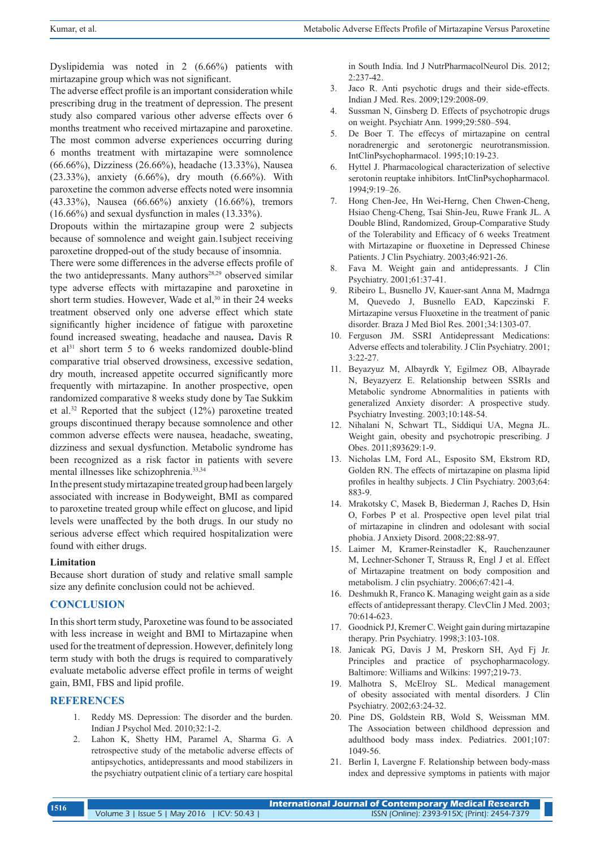Dyslipidemia was noted in 2 (6.66%) patients with mirtazapine group which was not significant.

The adverse effect profile is an important consideration while prescribing drug in the treatment of depression. The present study also compared various other adverse effects over 6 months treatment who received mirtazapine and paroxetine. The most common adverse experiences occurring during 6 months treatment with mirtazapine were somnolence (66.66%), Dizziness (26.66%), headache (13.33%), Nausea (23.33%), anxiety (6.66%), dry mouth (6.66%). With paroxetine the common adverse effects noted were insomnia (43.33%), Nausea (66.66%) anxiety (16.66%), tremors (16.66%) and sexual dysfunction in males (13.33%).

Dropouts within the mirtazapine group were 2 subjects because of somnolence and weight gain.1subject receiving paroxetine dropped-out of the study because of insomnia.

There were some differences in the adverse effects profile of the two antidepressants. Many authors<sup>28,29</sup> observed similar type adverse effects with mirtazapine and paroxetine in short term studies. However, Wade et al,<sup>30</sup> in their 24 weeks treatment observed only one adverse effect which state significantly higher incidence of fatigue with paroxetine found increased sweating, headache and nausea**.** Davis R et al<sup>31</sup> short term 5 to 6 weeks randomized double-blind comparative trial observed drowsiness, excessive sedation, dry mouth, increased appetite occurred significantly more frequently with mirtazapine. In another prospective, open randomized comparative 8 weeks study done by Tae Sukkim et al.32 Reported that the subject (12%) paroxetine treated groups discontinued therapy because somnolence and other common adverse effects were nausea, headache, sweating, dizziness and sexual dysfunction. Metabolic syndrome has been recognized as a risk factor in patients with severe mental illnesses like schizophrenia.33,34

In the present study mirtazapine treated group had been largely associated with increase in Bodyweight, BMI as compared to paroxetine treated group while effect on glucose, and lipid levels were unaffected by the both drugs. In our study no serious adverse effect which required hospitalization were found with either drugs.

#### **Limitation**

Because short duration of study and relative small sample size any definite conclusion could not be achieved.

### **CONCLUSION**

In this short term study, Paroxetine was found to be associated with less increase in weight and BMI to Mirtazapine when used for the treatment of depression. However, definitely long term study with both the drugs is required to comparatively evaluate metabolic adverse effect profile in terms of weight gain, BMI, FBS and lipid profile.

#### **REFERENCES**

- 1. Reddy MS. Depression: The disorder and the burden. Indian J Psychol Med. 2010;32:1-2.
- 2. Lahon K, Shetty HM, Paramel A, Sharma G. A retrospective study of the metabolic adverse effects of antipsychotics, antidepressants and mood stabilizers in the psychiatry outpatient clinic of a tertiary care hospital

in South India. Ind J NutrPharmacolNeurol Dis. 2012;  $2.237 - 42$ 

- 3. Jaco R. Anti psychotic drugs and their side-effects. Indian J Med. Res. 2009;129:2008-09.
- 4. Sussman N, Ginsberg D. Effects of psychotropic drugs on weight. Psychiatr Ann. 1999;29:580–594.
- 5. De Boer T. The effecys of mirtazapine on central noradrenergic and serotonergic neurotransmission. IntClinPsychopharmacol. 1995;10:19-23.
- 6. Hyttel J. Pharmacological characterization of selective serotonin reuptake inhibitors. IntClinPsychopharmacol. 1994;9:19–26.
- 7. Hong Chen-Jee, Hn Wei-Herng, Chen Chwen-Cheng, Hsiao Cheng-Cheng, Tsai Shin-Jeu, Ruwe Frank JL. A Double Blind, Randomized, Group-Comparative Study of the Tolerability and Efficacy of 6 weeks Treatment with Mirtazapine or fluoxetine in Depressed Chinese Patients. J Clin Psychiatry. 2003;46:921-26.
- 8. Fava M. Weight gain and antidepressants. J Clin Psychiatry. 2001;61:37-41.
- 9. Ribeiro L, Busnello JV, Kauer-sant Anna M, Madrnga M, Quevedo J, Busnello EAD, Kapczinski F. Mirtazapine versus Fluoxetine in the treatment of panic disorder. Braza J Med Biol Res. 2001;34:1303-07.
- 10. Ferguson JM. SSRI Antidepressant Medications: Adverse effects and tolerability. J Clin Psychiatry. 2001; 3:22-27.
- 11. Beyazyuz M, Albayrdk Y, Egilmez OB, Albayrade N, Beyazyerz E. Relationship between SSRIs and Metabolic syndrome Abnormalities in patients with generalized Anxiety disorder: A prospective study. Psychiatry Investing. 2003;10:148-54.
- 12. Nihalani N, Schwart TL, Siddiqui UA, Megna JL. Weight gain, obesity and psychotropic prescribing. J Obes. 2011;893629:1-9.
- 13. Nicholas LM, Ford AL, Esposito SM, Ekstrom RD, Golden RN. The effects of mirtazapine on plasma lipid profiles in healthy subjects. J Clin Psychiatry. 2003;64: 883-9.
- 14. Mrakotsky C, Masek B, Biederman J, Raches D, Hsin O, Forbes P et al. Prospective open level pilat trial of mirtazapine in clindren and odolesant with social phobia. J Anxiety Disord. 2008;22:88-97.
- 15. Laimer M, Kramer-Reinstadler K, Rauchenzauner M, Lechner-Schoner T, Strauss R, Engl J et al. Effect of Mirtazapine treatment on body composition and metabolism. J clin psychiatry. 2006;67:421-4.
- 16. Deshmukh R, Franco K. Managing weight gain as a side effects of antidepressant therapy. ClevClin J Med. 2003; 70:614-623.
- 17. Goodnick PJ, Kremer C. Weight gain during mirtazapine therapy. Prin Psychiatry. 1998;3:103-108.
- 18. Janicak PG, Davis J M, Preskorn SH, Ayd Fj Jr. Principles and practice of psychopharmacology. Baltimore: Williams and Wilkins: 1997;219-73.
- 19. Malhotra S, McElroy SL. Medical management of obesity associated with mental disorders. J Clin Psychiatry. 2002;63:24-32.
- 20. Pine DS, Goldstein RB, Wold S, Weissman MM. The Association between childhood depression and adulthood body mass index. Pediatrics. 2001;107: 1049-56.
- 21. Berlin I, Lavergne F. Relationship between body-mass index and depressive symptoms in patients with major